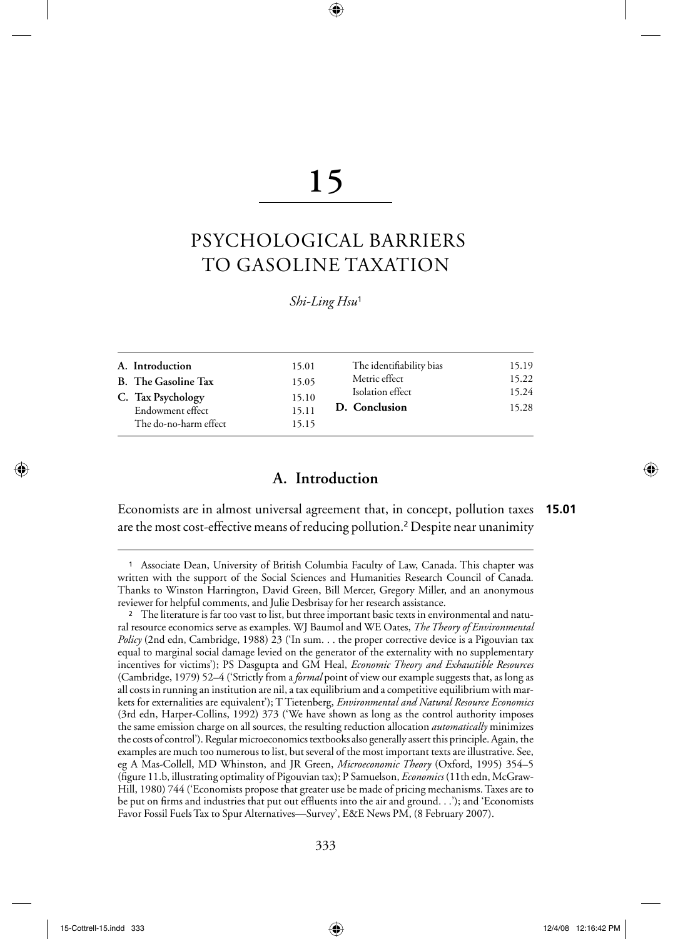# **15**

⊕

# PSYCHOLOGICAL BARRIERS TO GASOLINE TAXATION

#### *Shi-Ling Hsu*<sup>1</sup>

| The identifiability bias | 15.19 |
|--------------------------|-------|
| Metric effect            | 15.22 |
| Isolation effect         | 15.24 |
| D. Conclusion            | 15.28 |
|                          |       |

# **A. Introduction**

Economists are in almost universal agreement that, in concept, pollution taxes are the most cost-effective means of reducing pollution.2 Despite near unanimity **15.01**

⊕

<sup>1</sup>Associate Dean, University of British Columbia Faculty of Law, Canada. This chapter was written with the support of the Social Sciences and Humanities Research Council of Canada. Thanks to Winston Harrington, David Green, Bill Mercer, Gregory Miller, and an anonymous reviewer for helpful comments, and Julie Desbrisay for her research assistance.

<sup>2</sup> The literature is far too vast to list, but three important basic texts in environmental and natural resource economics serve as examples. WJ Baumol and WE Oates, *The Theory of Environmental Policy* (2nd edn, Cambridge, 1988) 23 ('In sum. . . the proper corrective device is a Pigouvian tax equal to marginal social damage levied on the generator of the externality with no supplementary incentives for victims'); PS Dasgupta and GM Heal, *Economic Theory and Exhaustible Resources* (Cambridge, 1979) 52–4 ('Strictly from a *formal* point of view our example suggests that, as long as all costs in running an institution are nil, a tax equilibrium and a competitive equilibrium with markets for externalities are equivalent'); T Tietenberg, *Environmental and Natural Resource Economics* (3rd edn, Harper-Collins, 1992) 373 ('We have shown as long as the control authority imposes the same emission charge on all sources, the resulting reduction allocation *automatically* minimizes the costs of control'). Regular microeconomics textbooks also generally assert this principle. Again, the examples are much too numerous to list, but several of the most important texts are illustrative. See, eg A Mas-Collell, MD Whinston, and JR Green, *Microeconomic Theory* (Oxford, 1995) 354–5 (figure 11.b, illustrating optimality of Pigouvian tax); P Samuelson, *Economics* (11th edn, McGraw-Hill, 1980) 744 ('Economists propose that greater use be made of pricing mechanisms. Taxes are to be put on firms and industries that put out effluents into the air and ground. . .'); and 'Economists Favor Fossil Fuels Tax to Spur Alternatives—Survey', E&E News PM, (8 February 2007).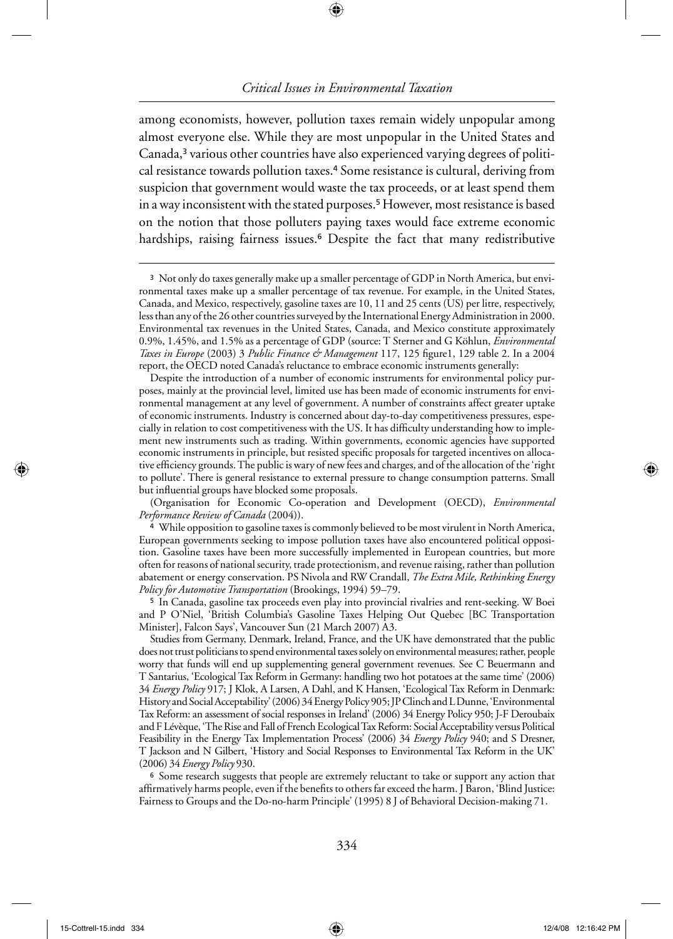⊕

among economists, however, pollution taxes remain widely unpopular among almost everyone else. While they are most unpopular in the United States and Canada,3 various other countries have also experienced varying degrees of political resistance towards pollution taxes.4 Some resistance is cultural, deriving from suspicion that government would waste the tax proceeds, or at least spend them in a way inconsistent with the stated purposes.<sup>5</sup> However, most resistance is based on the notion that those polluters paying taxes would face extreme economic hardships, raising fairness issues.<sup>6</sup> Despite the fact that many redistributive

Despite the introduction of a number of economic instruments for environmental policy purposes, mainly at the provincial level, limited use has been made of economic instruments for environmental management at any level of government. A number of constraints affect greater uptake of economic instruments. Industry is concerned about day-to-day competitiveness pressures, especially in relation to cost competitiveness with the US. It has difficulty understanding how to implement new instruments such as trading. Within governments, economic agencies have supported economic instruments in principle, but resisted specific proposals for targeted incentives on allocative efficiency grounds. The public is wary of new fees and charges, and of the allocation of the 'right to pollute'. There is general resistance to external pressure to change consumption patterns. Small but influential groups have blocked some proposals.

(Organisation for Economic Co-operation and Development (OECD), *Environmental Performance Review of Canada* (2004)).

<sup>4</sup>While opposition to gasoline taxes is commonly believed to be most virulent in North America, European governments seeking to impose pollution taxes have also encountered political opposition. Gasoline taxes have been more successfully implemented in European countries, but more often for reasons of national security, trade protectionism, and revenue raising, rather than pollution abatement or energy conservation. PS Nivola and RW Crandall, *The Extra Mile, Rethinking Energy Policy for Automotive Transportation* (Brookings, 1994) 59–79.

<sup>5</sup>In Canada, gasoline tax proceeds even play into provincial rivalries and rent-seeking. W Boei and P O'Niel, 'British Columbia's Gasoline Taxes Helping Out Quebec [BC Transportation Minister], Falcon Says', Vancouver Sun (21 March 2007) A3.

Studies from Germany, Denmark, Ireland, France, and the UK have demonstrated that the public does not trust politicians to spend environmental taxes solely on environmental measures; rather, people worry that funds will end up supplementing general government revenues. See C Beuermann and T Santarius, 'Ecological Tax Reform in Germany: handling two hot potatoes at the same time' (2006) 34 *Energy Policy* 917; J Klok, A Larsen, A Dahl, and K Hansen, 'Ecological Tax Reform in Denmark: History and Social Acceptability' (2006) 34 Energy Policy 905; JP Clinch and L Dunne, 'Environmental Tax Reform: an assessment of social responses in Ireland' (2006) 34 Energy Policy 950; J-F Deroubaix and F Lévèque, 'The Rise and Fall of French Ecological Tax Reform: Social Acceptability versus Political Feasibility in the Energy Tax Implementation Process' (2006) 34 *Energy Policy* 940; and S Dresner, T Jackson and N Gilbert, 'History and Social Responses to Environmental Tax Reform in the UK' (2006) 34 *Energy Policy* 930.

<sup>6</sup> Some research suggests that people are extremely reluctant to take or support any action that affirmatively harms people, even if the benefits to others far exceed the harm. J Baron, 'Blind Justice: Fairness to Groups and the Do-no-harm Principle' (1995) 8 J of Behavioral Decision-making 71.

<sup>3</sup> Not only do taxes generally make up a smaller percentage of GDP in North America, but environmental taxes make up a smaller percentage of tax revenue. For example, in the United States, Canada, and Mexico, respectively, gasoline taxes are 10, 11 and 25 cents (US) per litre, respectively, less than any of the 26 other countries surveyed by the International Energy Administration in 2000. Environmental tax revenues in the United States, Canada, and Mexico constitute approximately 0.9%, 1.45%, and 1.5% as a percentage of GDP (source: T Sterner and G Köhlun, *Environmental Taxes in Europe* (2003) 3 *Public Finance & Management* 117, 125 figure1, 129 table 2. In a 2004 report, the OECD noted Canada's reluctance to embrace economic instruments generally: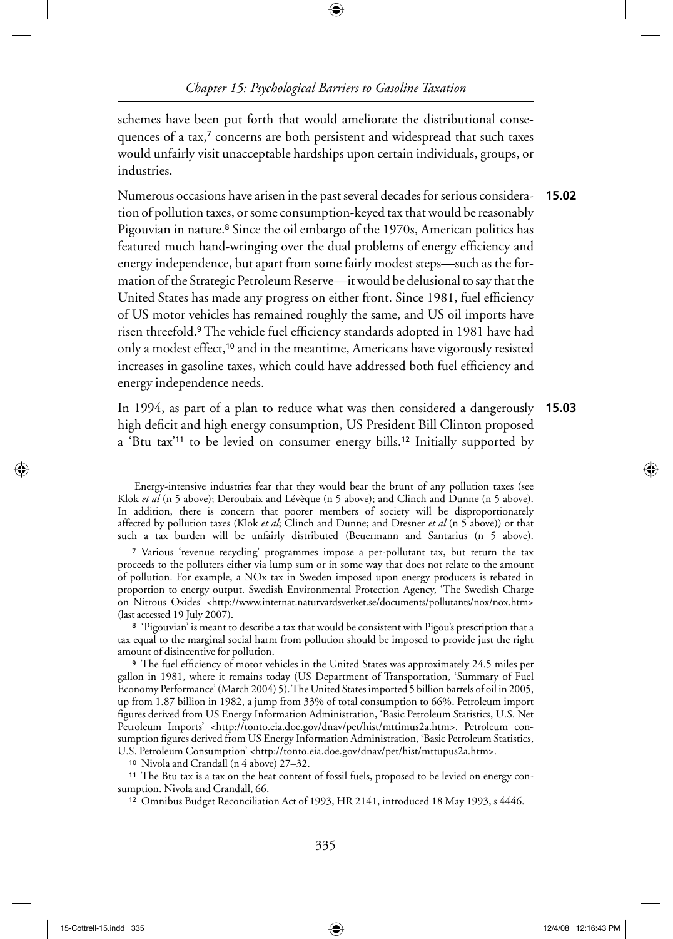⊕

schemes have been put forth that would ameliorate the distributional consequences of a tax,<sup>7</sup> concerns are both persistent and widespread that such taxes would unfairly visit unacceptable hardships upon certain individuals, groups, or industries.

Numerous occasions have arisen in the past several decades for serious consideration of pollution taxes, or some consumption-keyed tax that would be reasonably Pigouvian in nature.<sup>8</sup> Since the oil embargo of the 1970s, American politics has featured much hand-wringing over the dual problems of energy efficiency and energy independence, but apart from some fairly modest steps—such as the formation of the Strategic Petroleum Reserve—it would be delusional to say that the United States has made any progress on either front. Since 1981, fuel efficiency of US motor vehicles has remained roughly the same, and US oil imports have risen threefold.<sup>9</sup> The vehicle fuel efficiency standards adopted in 1981 have had only a modest effect,<sup>10</sup> and in the meantime, Americans have vigorously resisted increases in gasoline taxes, which could have addressed both fuel efficiency and energy independence needs. **15.02**

In 1994, as part of a plan to reduce what was then considered a dangerously high deficit and high energy consumption, US President Bill Clinton proposed a 'Btu tax'11 to be levied on consumer energy bills.12 Initially supported by **15.03**

<sup>8</sup>'Pigouvian' is meant to describe a tax that would be consistent with Pigou's prescription that a tax equal to the marginal social harm from pollution should be imposed to provide just the right amount of disincentive for pollution.

<sup>9</sup> The fuel efficiency of motor vehicles in the United States was approximately 24.5 miles per gallon in 1981, where it remains today (US Department of Transportation, 'Summary of Fuel Economy Performance' (March 2004) 5). The United States imported 5 billion barrels of oil in 2005, up from 1.87 billion in 1982, a jump from 33% of total consumption to 66%. Petroleum import figures derived from US Energy Information Administration, 'Basic Petroleum Statistics, U.S. Net Petroleum Imports' <http://tonto.eia.doe.gov/dnav/pet/hist/mttimus2a.htm>. Petroleum consumption figures derived from US Energy Information Administration, 'Basic Petroleum Statistics, U.S. Petroleum Consumption' <http://tonto.eia.doe.gov/dnav/pet/hist/mttupus2a.htm>.

10 Nivola and Crandall (n 4 above) 27–32.

11 The Btu tax is a tax on the heat content of fossil fuels, proposed to be levied on energy consumption. Nivola and Crandall, 66.

<sup>12</sup> Omnibus Budget Reconciliation Act of 1993, HR 2141, introduced 18 May 1993, s 4446.

↔

Energy-intensive industries fear that they would bear the brunt of any pollution taxes (see Klok *et al* (n 5 above); Deroubaix and Lévèque (n 5 above); and Clinch and Dunne (n 5 above). In addition, there is concern that poorer members of society will be disproportionately affected by pollution taxes (Klok *et al*; Clinch and Dunne; and Dresner *et al* (n 5 above)) or that such a tax burden will be unfairly distributed (Beuermann and Santarius (n 5 above).

<sup>7</sup>Various 'revenue recycling' programmes impose a per-pollutant tax, but return the tax proceeds to the polluters either via lump sum or in some way that does not relate to the amount of pollution. For example, a NOx tax in Sweden imposed upon energy producers is rebated in proportion to energy output. Swedish Environmental Protection Agency, 'The Swedish Charge on Nitrous Oxides' <http://www.internat.naturvardsverket.se/documents/pollutants/nox/nox.htm> (last accessed 19 July 2007).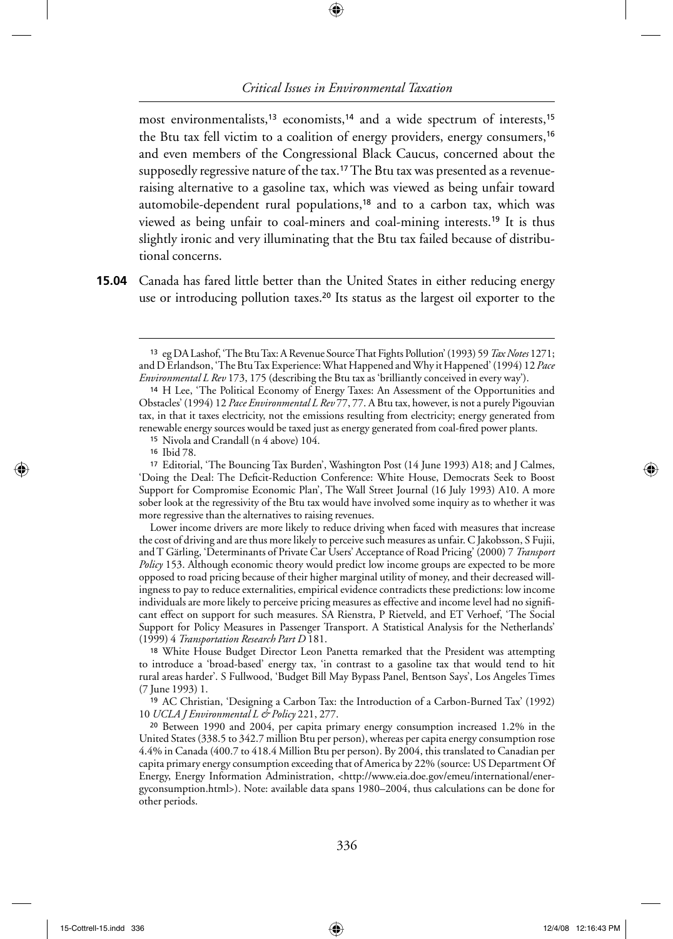⊕

most environmentalists,<sup>13</sup> economists,<sup>14</sup> and a wide spectrum of interests,<sup>15</sup> the Btu tax fell victim to a coalition of energy providers, energy consumers,<sup>16</sup> and even members of the Congressional Black Caucus, concerned about the supposedly regressive nature of the tax.<sup>17</sup> The Btu tax was presented as a revenueraising alternative to a gasoline tax, which was viewed as being unfair toward automobile-dependent rural populations,<sup>18</sup> and to a carbon tax, which was viewed as being unfair to coal-miners and coal-mining interests.19 It is thus slightly ironic and very illuminating that the Btu tax failed because of distributional concerns.

Canada has fared little better than the United States in either reducing energy **15.04** use or introducing pollution taxes.<sup>20</sup> Its status as the largest oil exporter to the

Lower income drivers are more likely to reduce driving when faced with measures that increase the cost of driving and are thus more likely to perceive such measures as unfair. C Jakobsson, S Fujii, and T Gärling, 'Determinants of Private Car Users' Acceptance of Road Pricing' (2000) 7 *Transport Policy* 153. Although economic theory would predict low income groups are expected to be more opposed to road pricing because of their higher marginal utility of money, and their decreased willingness to pay to reduce externalities, empirical evidence contradicts these predictions: low income individuals are more likely to perceive pricing measures as effective and income level had no significant effect on support for such measures. SA Rienstra, P Rietveld, and ET Verhoef, 'The Social Support for Policy Measures in Passenger Transport. A Statistical Analysis for the Netherlands' (1999) 4 *Transportation Research Part D* 181.

<sup>18</sup>White House Budget Director Leon Panetta remarked that the President was attempting to introduce a 'broad-based' energy tax, 'in contrast to a gasoline tax that would tend to hit rural areas harder'. S Fullwood, 'Budget Bill May Bypass Panel, Bentson Says', Los Angeles Times (7 June 1993) 1.

<sup>19</sup>AC Christian, 'Designing a Carbon Tax: the Introduction of a Carbon-Burned Tax' (1992) 10 *UCLA J Environmental L & Policy* 221, 277.

<sup>20</sup>Between 1990 and 2004, per capita primary energy consumption increased 1.2% in the United States (338.5 to 342.7 million Btu per person), whereas per capita energy consumption rose 4.4% in Canada (400.7 to 418.4 Million Btu per person). By 2004, this translated to Canadian per capita primary energy consumption exceeding that of America by 22% (source: US Department Of Energy, Energy Information Administration, <http://www.eia.doe.gov/emeu/international/energyconsumption.html>). Note: available data spans 1980–2004, thus calculations can be done for other periods.

◈

<sup>13</sup>eg DA Lashof, 'The Btu Tax: A Revenue Source That Fights Pollution' (1993) 59 *Tax Notes* 1271; and D Erlandson, 'The Btu Tax Experience: What Happened and Why it Happened' (1994) 12 *Pace Environmental L Rev* 173, 175 (describing the Btu tax as 'brilliantly conceived in every way').

<sup>14</sup>H Lee, 'The Political Economy of Energy Taxes: An Assessment of the Opportunities and Obstacles' (1994) 12 *Pace Environmental L Rev* 77, 77. A Btu tax, however, is not a purely Pigouvian tax, in that it taxes electricity, not the emissions resulting from electricity; energy generated from renewable energy sources would be taxed just as energy generated from coal-fired power plants.

<sup>15</sup>Nivola and Crandall (n 4 above) 104.

<sup>&</sup>lt;sup>16</sup> Ibid 78.

<sup>17</sup>Editorial, 'The Bouncing Tax Burden', Washington Post (14 June 1993) A18; and J Calmes, 'Doing the Deal: The Deficit-Reduction Conference: White House, Democrats Seek to Boost Support for Compromise Economic Plan', The Wall Street Journal (16 July 1993) A10. A more sober look at the regressivity of the Btu tax would have involved some inquiry as to whether it was more regressive than the alternatives to raising revenues.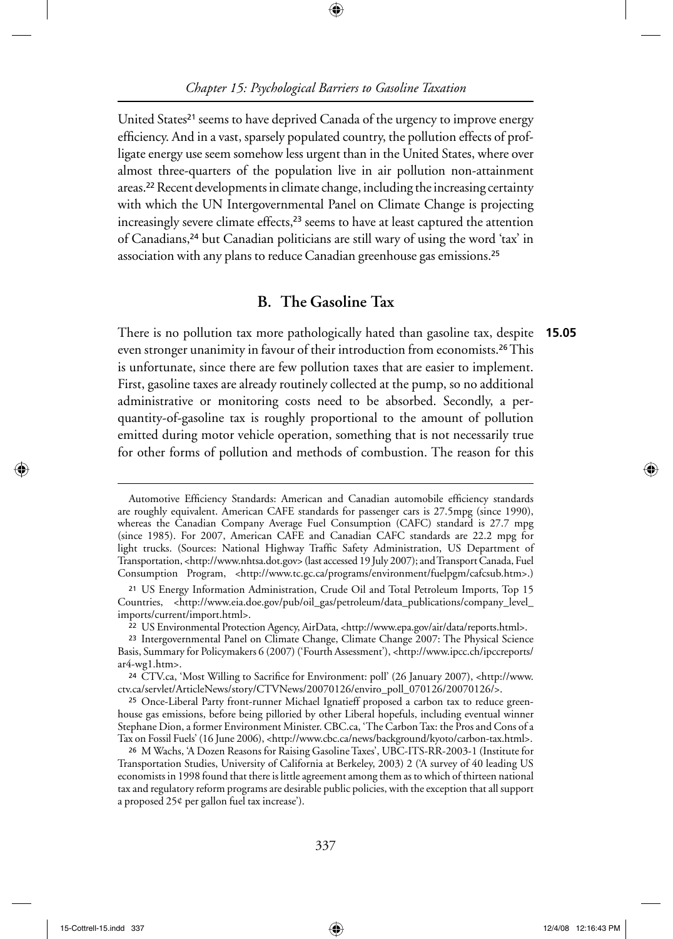⊕

United States<sup>21</sup> seems to have deprived Canada of the urgency to improve energy efficiency. And in a vast, sparsely populated country, the pollution effects of profligate energy use seem somehow less urgent than in the United States, where over almost three-quarters of the population live in air pollution non-attainment areas.22 Recent developments in climate change, including the increasing certainty with which the UN Intergovernmental Panel on Climate Change is projecting increasingly severe climate effects,<sup>23</sup> seems to have at least captured the attention of Canadians,24 but Canadian politicians are still wary of using the word 'tax' in association with any plans to reduce Canadian greenhouse gas emissions.<sup>25</sup>

# **B. The Gasoline Tax**

There is no pollution tax more pathologically hated than gasoline tax, despite even stronger unanimity in favour of their introduction from economists.26 This is unfortunate, since there are few pollution taxes that are easier to implement. First, gasoline taxes are already routinely collected at the pump, so no additional administrative or monitoring costs need to be absorbed. Secondly, a perquantity-of-gasoline tax is roughly proportional to the amount of pollution emitted during motor vehicle operation, something that is not necessarily true for other forms of pollution and methods of combustion. The reason for this **15.05**

↔

Automotive Efficiency Standards: American and Canadian automobile efficiency standards are roughly equivalent. American CAFE standards for passenger cars is 27.5mpg (since 1990), whereas the Canadian Company Average Fuel Consumption (CAFC) standard is 27.7 mpg (since 1985). For 2007, American CAFE and Canadian CAFC standards are 22.2 mpg for light trucks. (Sources: National Highway Traffic Safety Administration, US Department of Transportation, <http://www.nhtsa.dot.gov> (last accessed 19 July 2007); and Transport Canada, Fuel Consumption Program, <http://www.tc.gc.ca/programs/environment/fuelpgm/cafcsub.htm>.)

<sup>21</sup>US Energy Information Administration, Crude Oil and Total Petroleum Imports, Top 15 Countries, <http://www.eia.doe.gov/pub/oil\_gas/petroleum/data\_publications/company\_level\_ imports/current/import.html>.

<sup>22</sup>US Environmental Protection Agency, AirData, <http://www.epa.gov/air/data/reports.html>.

<sup>23</sup>Intergovernmental Panel on Climate Change, Climate Change 2007: The Physical Science Basis, Summary for Policymakers 6 (2007) ('Fourth Assessment'), <http://www.ipcc.ch/ipccreports/ ar4-wg1.htm>.

<sup>&</sup>lt;sup>24</sup> CTV.ca, 'Most Willing to Sacrifice for Environment: poll' (26 January 2007), <http://www. ctv.ca/servlet/ArticleNews/story/CTVNews/20070126/enviro\_poll\_070126/20070126/>.

<sup>25</sup> Once-Liberal Party front-runner Michael Ignatieff proposed a carbon tax to reduce greenhouse gas emissions, before being pilloried by other Liberal hopefuls, including eventual winner Stephane Dion, a former Environment Minister. CBC.ca, 'The Carbon Tax: the Pros and Cons of a Tax on Fossil Fuels' (16 June 2006), <http://www.cbc.ca/news/background/kyoto/carbon-tax.html>.

<sup>26</sup>M Wachs, 'A Dozen Reasons for Raising Gasoline Taxes', UBC-ITS-RR-2003-1 (Institute for Transportation Studies, University of California at Berkeley, 2003) 2 ('A survey of 40 leading US economists in 1998 found that there is little agreement among them as to which of thirteen national tax and regulatory reform programs are desirable public policies, with the exception that all support a proposed 25¢ per gallon fuel tax increase').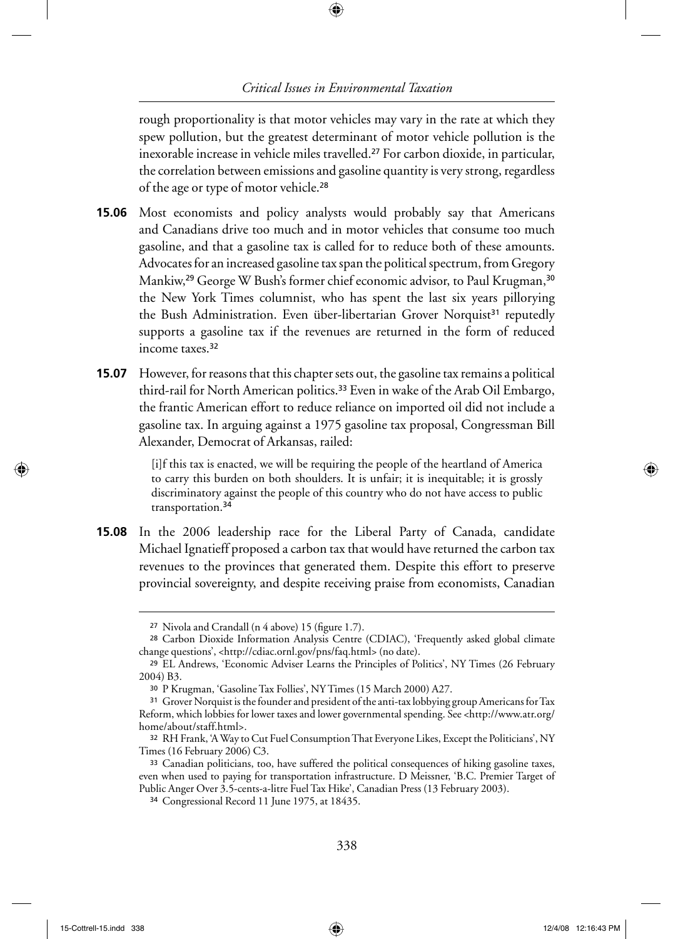⊕

rough proportionality is that motor vehicles may vary in the rate at which they spew pollution, but the greatest determinant of motor vehicle pollution is the inexorable increase in vehicle miles travelled.27 For carbon dioxide, in particular, the correlation between emissions and gasoline quantity is very strong, regardless of the age or type of motor vehicle.<sup>28</sup>

- **15.06** Most economists and policy analysts would probably say that Americans and Canadians drive too much and in motor vehicles that consume too much gasoline, and that a gasoline tax is called for to reduce both of these amounts. Advocates for an increased gasoline tax span the political spectrum, from Gregory Mankiw,<sup>29</sup> George W Bush's former chief economic advisor, to Paul Krugman,<sup>30</sup> the New York Times columnist, who has spent the last six years pillorying the Bush Administration. Even über-libertarian Grover Norquist<sup>31</sup> reputedly supports a gasoline tax if the revenues are returned in the form of reduced income taxes.<sup>32</sup>
- However, for reasons that this chapter sets out, the gasoline tax remains a political **15.07** third-rail for North American politics.33 Even in wake of the Arab Oil Embargo, the frantic American effort to reduce reliance on imported oil did not include a gasoline tax. In arguing against a 1975 gasoline tax proposal, Congressman Bill Alexander, Democrat of Arkansas, railed:

[i]f this tax is enacted, we will be requiring the people of the heartland of America to carry this burden on both shoulders. It is unfair; it is inequitable; it is grossly discriminatory against the people of this country who do not have access to public transportation.<sup>34</sup>

**15.08** In the 2006 leadership race for the Liberal Party of Canada, candidate Michael Ignatieff proposed a carbon tax that would have returned the carbon tax revenues to the provinces that generated them. Despite this effort to preserve provincial sovereignty, and despite receiving praise from economists, Canadian

⊕

<sup>&</sup>lt;sup>27</sup> Nivola and Crandall (n 4 above) 15 (figure 1.7).

<sup>&</sup>lt;sup>28</sup> Carbon Dioxide Information Analysis Centre (CDIAC), 'Frequently asked global climate change questions', <http://cdiac.ornl.gov/pns/faq.html> (no date).

<sup>29</sup>EL Andrews, 'Economic Adviser Learns the Principles of Politics', NY Times (26 February 2004) B3.

<sup>30</sup>P Krugman, 'Gasoline Tax Follies', NY Times (15 March 2000) A27.

<sup>&</sup>lt;sup>31</sup> Grover Norquist is the founder and president of the anti-tax lobbying group Americans for Tax Reform, which lobbies for lower taxes and lower governmental spending. See <http://www.atr.org/ home/about/staff.html>.

<sup>32</sup>RH Frank, 'A Way to Cut Fuel Consumption That Everyone Likes, Except the Politicians', NY Times (16 February 2006) C3.

<sup>33</sup> Canadian politicians, too, have suffered the political consequences of hiking gasoline taxes, even when used to paying for transportation infrastructure. D Meissner, 'B.C. Premier Target of Public Anger Over 3.5-cents-a-litre Fuel Tax Hike', Canadian Press (13 February 2003).

<sup>34</sup>Congressional Record 11 June 1975, at 18435.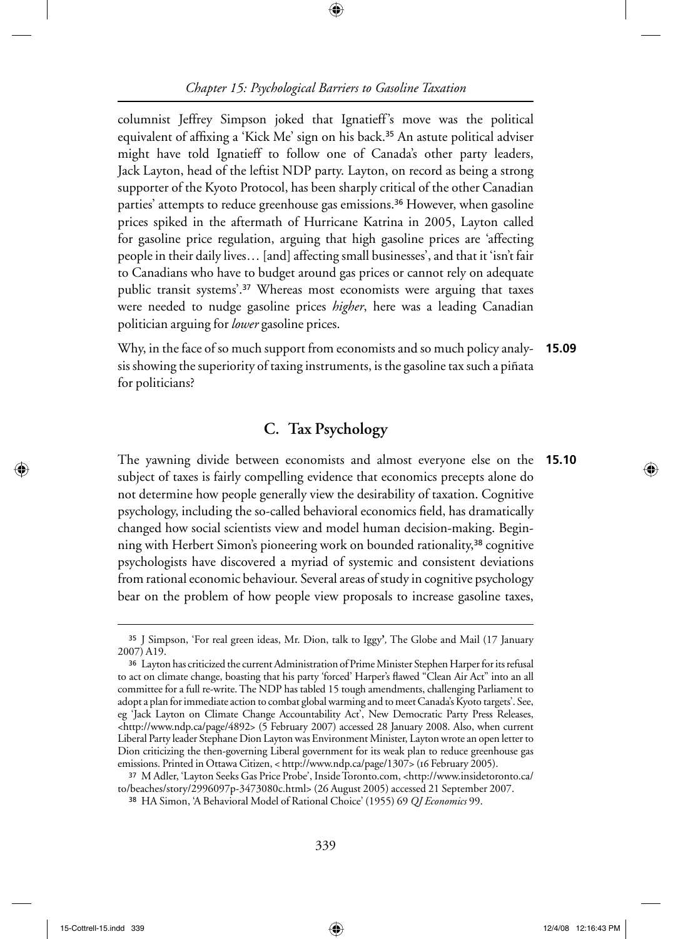⊕

columnist Jeffrey Simpson joked that Ignatieff's move was the political equivalent of affixing a 'Kick Me' sign on his back.<sup>35</sup> An astute political adviser might have told Ignatieff to follow one of Canada's other party leaders, Jack Layton, head of the leftist NDP party. Layton, on record as being a strong supporter of the Kyoto Protocol, has been sharply critical of the other Canadian parties' attempts to reduce greenhouse gas emissions.<sup>36</sup> However, when gasoline prices spiked in the aftermath of Hurricane Katrina in 2005, Layton called for gasoline price regulation, arguing that high gasoline prices are 'affecting people in their daily lives… [and] affecting small businesses', and that it 'isn't fair to Canadians who have to budget around gas prices or cannot rely on adequate public transit systems'.37 Whereas most economists were arguing that taxes were needed to nudge gasoline prices *higher*, here was a leading Canadian politician arguing for *lower* gasoline prices.

Why, in the face of so much support from economists and so much policy analysis showing the superiority of taxing instruments, is the gasoline tax such a piñata for politicians? **15.09**

# **C. Tax Psychology**

The yawning divide between economists and almost everyone else on the subject of taxes is fairly compelling evidence that economics precepts alone do not determine how people generally view the desirability of taxation. Cognitive psychology, including the so-called behavioral economics field, has dramatically changed how social scientists view and model human decision-making. Beginning with Herbert Simon's pioneering work on bounded rationality,38 cognitive psychologists have discovered a myriad of systemic and consistent deviations from rational economic behaviour. Several areas of study in cognitive psychology bear on the problem of how people view proposals to increase gasoline taxes, **15.10**

↔

<sup>35</sup>J Simpson, 'For real green ideas, Mr. Dion, talk to Iggy**'***,* The Globe and Mail (17 January 2007) A19.

<sup>36</sup>Layton has criticized the current Administration of Prime Minister Stephen Harper for its refusal to act on climate change, boasting that his party 'forced' Harper's flawed "Clean Air Act" into an all committee for a full re-write. The NDP has tabled 15 tough amendments, challenging Parliament to adopt a plan for immediate action to combat global warming and to meet Canada's Kyoto targets'. See, eg 'Jack Layton on Climate Change Accountability Act', New Democratic Party Press Releases, <http://www.ndp.ca/page/4892> (5 February 2007) accessed 28 January 2008. Also, when current Liberal Party leader Stephane Dion Layton was Environment Minister, Layton wrote an open letter to Dion criticizing the then-governing Liberal government for its weak plan to reduce greenhouse gas emissions. Printed in Ottawa Citizen, < http://www.ndp.ca/page/1307> (16 February 2005).

<sup>37</sup>M Adler, 'Layton Seeks Gas Price Probe', Inside Toronto.com, <http://www.insidetoronto.ca/ to/beaches/story/2996097p-3473080c.html> (26 August 2005) accessed 21 September 2007.

<sup>38</sup>HA Simon, 'A Behavioral Model of Rational Choice' (1955) 69 *QJ Economics* 99.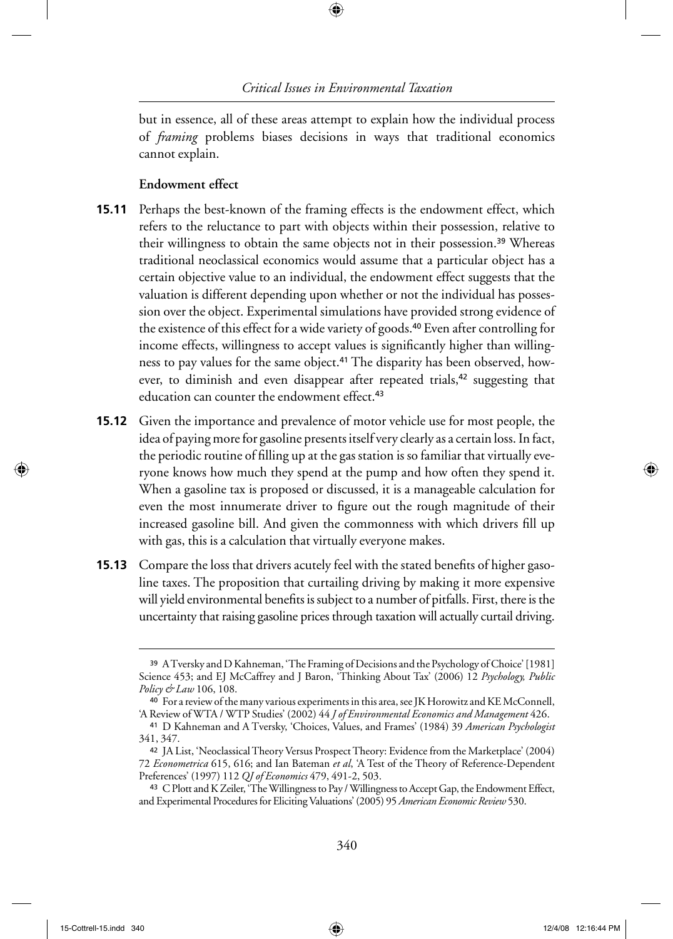⊕

but in essence, all of these areas attempt to explain how the individual process of *framing* problems biases decisions in ways that traditional economics cannot explain.

#### **Endowment effect**

- **15.11** Perhaps the best-known of the framing effects is the endowment effect, which refers to the reluctance to part with objects within their possession, relative to their willingness to obtain the same objects not in their possession.<sup>39</sup> Whereas traditional neoclassical economics would assume that a particular object has a certain objective value to an individual, the endowment effect suggests that the valuation is different depending upon whether or not the individual has possession over the object. Experimental simulations have provided strong evidence of the existence of this effect for a wide variety of goods.40 Even after controlling for income effects, willingness to accept values is significantly higher than willingness to pay values for the same object.<sup>41</sup> The disparity has been observed, however, to diminish and even disappear after repeated trials,<sup>42</sup> suggesting that education can counter the endowment effect.<sup>43</sup>
- **15.12** Given the importance and prevalence of motor vehicle use for most people, the idea of paying more for gasoline presents itself very clearly as a certain loss. In fact, the periodic routine of filling up at the gas station is so familiar that virtually everyone knows how much they spend at the pump and how often they spend it. When a gasoline tax is proposed or discussed, it is a manageable calculation for even the most innumerate driver to figure out the rough magnitude of their increased gasoline bill. And given the commonness with which drivers fill up with gas, this is a calculation that virtually everyone makes.
- **15.13** Compare the loss that drivers acutely feel with the stated benefits of higher gasoline taxes. The proposition that curtailing driving by making it more expensive will yield environmental benefits is subject to a number of pitfalls. First, there is the uncertainty that raising gasoline prices through taxation will actually curtail driving.

 $\langle \spadesuit \rangle$ 

<sup>39</sup>A Tversky and D Kahneman, 'The Framing of Decisions and the Psychology of Choice' [1981] Science 453; and EJ McCaffrey and J Baron, 'Thinking About Tax' (2006) 12 *Psychology, Public Policy & Law* 106, 108.

<sup>40</sup> For a review of the many various experiments in this area, see JK Horowitz and KE McConnell, 'A Review of WTA / WTP Studies' (2002) 44 *J of Environmental Economics and Management* 426.

<sup>41</sup>D Kahneman and A Tversky, 'Choices, Values, and Frames' (1984) 39 *American Psychologist* 341, 347.

<sup>42</sup> JA List, 'Neoclassical Theory Versus Prospect Theory: Evidence from the Marketplace' (2004) 72 *Econometrica* 615, 616; and Ian Bateman *et al*, 'A Test of the Theory of Reference-Dependent Preferences' (1997) 112 *QJ of Economics* 479, 491-2, 503.

<sup>&</sup>lt;sup>43</sup> C Plott and K Zeiler, 'The Willingness to Pay / Willingness to Accept Gap, the Endowment Effect, and Experimental Procedures for Eliciting Valuations' (2005) 95 *American Economic Review* 530.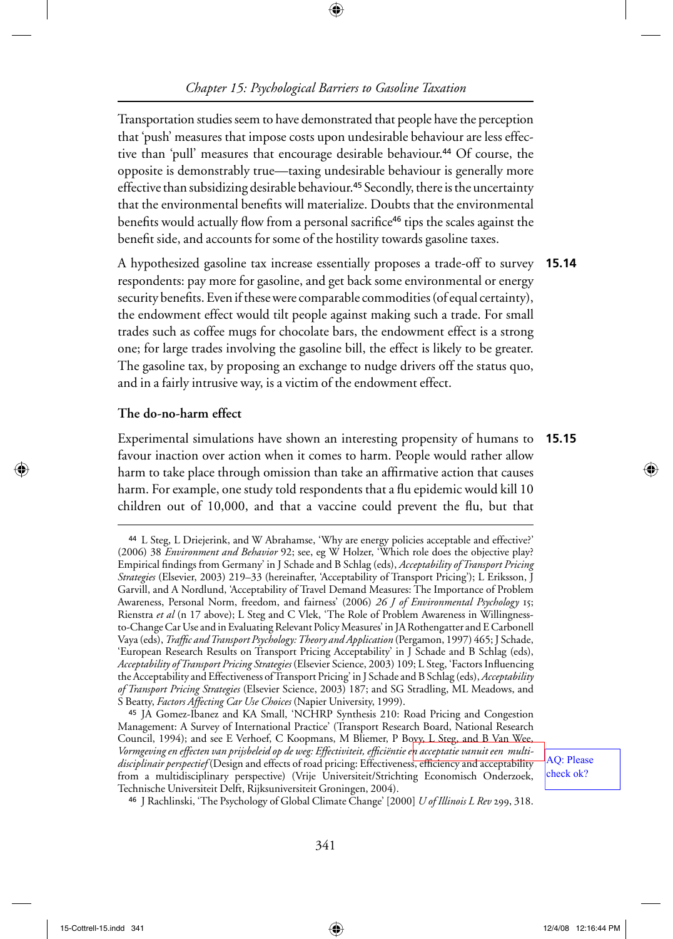Transportation studies seem to have demonstrated that people have the perception that 'push' measures that impose costs upon undesirable behaviour are less effective than 'pull' measures that encourage desirable behaviour.<sup>44</sup> Of course, the opposite is demonstrably true—taxing undesirable behaviour is generally more effective than subsidizing desirable behaviour.<sup>45</sup> Secondly, there is the uncertainty that the environmental benefits will materialize. Doubts that the environmental benefits would actually flow from a personal sacrifice<sup>46</sup> tips the scales against the benefit side, and accounts for some of the hostility towards gasoline taxes.

A hypothesized gasoline tax increase essentially proposes a trade-off to survey **15.14** respondents: pay more for gasoline, and get back some environmental or energy security benefits. Even if these were comparable commodities (of equal certainty), the endowment effect would tilt people against making such a trade. For small trades such as coffee mugs for chocolate bars, the endowment effect is a strong one; for large trades involving the gasoline bill, the effect is likely to be greater. The gasoline tax, by proposing an exchange to nudge drivers off the status quo, and in a fairly intrusive way, is a victim of the endowment effect.

#### **The do-no-harm effect**

Experimental simulations have shown an interesting propensity of humans to **15.15** favour inaction over action when it comes to harm. People would rather allow harm to take place through omission than take an affirmative action that causes harm. For example, one study told respondents that a flu epidemic would kill 10 children out of 10,000, and that a vaccine could prevent the flu, but that

<sup>46</sup>J Rachlinski, 'The Psychology of Global Climate Change' [2000] *U of Illinois L Rev* 299, 318.

AQ: Please check ok?

⊕

<sup>44</sup>L Steg, L Driejerink, and W Abrahamse, 'Why are energy policies acceptable and effective?' (2006) 38 *Environment and Behavior* 92; see, eg W Holzer, 'Which role does the objective play? Empirical findings from Germany' in J Schade and B Schlag (eds), *Acceptability of Transport Pricing Strategies* (Elsevier, 2003) 219–33 (hereinafter, 'Acceptability of Transport Pricing'); L Eriksson, J Garvill, and A Nordlund, 'Acceptability of Travel Demand Measures: The Importance of Problem Awareness, Personal Norm, freedom, and fairness' (2006) *26 J of Environmental Psychology* 15; Rienstra *et al* (n 17 above); L Steg and C Vlek, 'The Role of Problem Awareness in Willingnessto-Change Car Use and in Evaluating Relevant Policy Measures' in JA Rothengatter and E Carbonell Vaya (eds), *Traffi c and Transport Psychology: Theory and Application* (Pergamon, 1997) 465; J Schade, 'European Research Results on Transport Pricing Acceptability' in J Schade and B Schlag (eds), *Acceptability of Transport Pricing Strategies* (Elsevier Science, 2003) 109; L Steg, 'Factors Infl uencing the Acceptability and Effectiveness of Transport Pricing' in J Schade and B Schlag (eds), *Acceptability of Transport Pricing Strategies* (Elsevier Science, 2003) 187; and SG Stradling, ML Meadows, and S Beatty, *Factors Affecting Car Use Choices* (Napier University, 1999).

<sup>&</sup>lt;sup>45</sup> JA Gomez-Ibanez and KA Small, 'NCHRP Synthesis 210: Road Pricing and Congestion Management: A Survey of International Practice' (Transport Research Board, National Research Council, 1994); and see E Verhoef, C Koopmans, M Bliemer, P Boxy, L Steg, and B Van Wee, Vormgeving en effecten van prijsbeleid op de weg: Effectiviteit, efficiëntie e<mark>n acceptatie vanuit een multi-</mark> disciplinair perspectief (Design and effects of road pricing: Effectiveness, efficiency and acceptability from a multidisciplinary perspective) (Vrije Universiteit/Strichting Economisch Onderzoek, Technische Universiteit Delft, Rijksuniversiteit Groningen, 2004).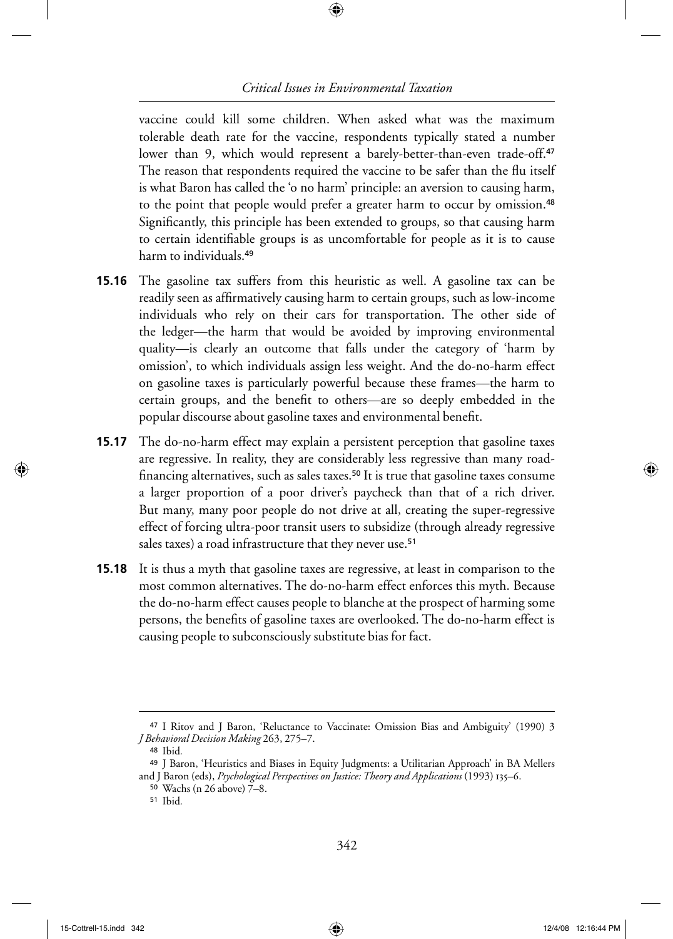⊕

vaccine could kill some children. When asked what was the maximum tolerable death rate for the vaccine, respondents typically stated a number lower than 9, which would represent a barely-better-than-even trade-off.<sup>47</sup> The reason that respondents required the vaccine to be safer than the flu itself is what Baron has called the 'o no harm' principle: an aversion to causing harm, to the point that people would prefer a greater harm to occur by omission.<sup>48</sup> Significantly, this principle has been extended to groups, so that causing harm to certain identifiable groups is as uncomfortable for people as it is to cause harm to individuals.<sup>49</sup>

- **15.16** The gasoline tax suffers from this heuristic as well. A gasoline tax can be readily seen as affirmatively causing harm to certain groups, such as low-income individuals who rely on their cars for transportation. The other side of the ledger—the harm that would be avoided by improving environmental quality—is clearly an outcome that falls under the category of 'harm by omission', to which individuals assign less weight. And the do-no-harm effect on gasoline taxes is particularly powerful because these frames—the harm to certain groups, and the benefit to others—are so deeply embedded in the popular discourse about gasoline taxes and environmental benefit.
- The do-no-harm effect may explain a persistent perception that gasoline taxes are regressive. In reality, they are considerably less regressive than many roadfinancing alternatives, such as sales taxes.<sup>50</sup> It is true that gasoline taxes consume a larger proportion of a poor driver's paycheck than that of a rich driver. But many, many poor people do not drive at all, creating the super-regressive effect of forcing ultra-poor transit users to subsidize (through already regressive sales taxes) a road infrastructure that they never use.<sup>51</sup> **15.17**
- **15.18** It is thus a myth that gasoline taxes are regressive, at least in comparison to the most common alternatives. The do-no-harm effect enforces this myth. Because the do-no-harm effect causes people to blanche at the prospect of harming some persons, the benefits of gasoline taxes are overlooked. The do-no-harm effect is causing people to subconsciously substitute bias for fact.

↔

◈

<sup>47</sup>I Ritov and J Baron, 'Reluctance to Vaccinate: Omission Bias and Ambiguity' (1990) 3 *J Behavioral Decision Making* 263, 275–7.

<sup>48</sup>Ibid*.*

<sup>49</sup> J Baron, 'Heuristics and Biases in Equity Judgments: a Utilitarian Approach' in BA Mellers

and J Baron (eds), *Psychological Perspectives on Justice: Theory and Applications* (1993) 135–6.

<sup>50</sup>Wachs (n 26 above) 7–8.

<sup>51</sup>Ibid*.*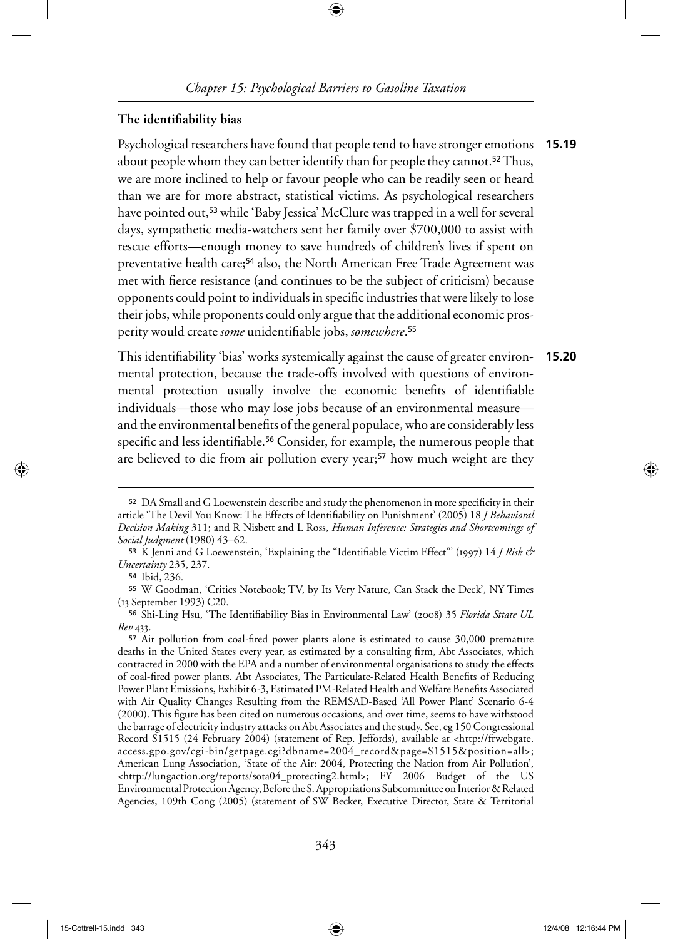⊕

#### The identifiability bias

Psychological researchers have found that people tend to have stronger emotions **15.19** about people whom they can better identify than for people they cannot.<sup>52</sup> Thus, we are more inclined to help or favour people who can be readily seen or heard than we are for more abstract, statistical victims. As psychological researchers have pointed out,<sup>53</sup> while 'Baby Jessica' McClure was trapped in a well for several days, sympathetic media-watchers sent her family over \$700,000 to assist with rescue efforts—enough money to save hundreds of children's lives if spent on preventative health care;<sup>54</sup> also, the North American Free Trade Agreement was met with fierce resistance (and continues to be the subject of criticism) because opponents could point to individuals in specific industries that were likely to lose their jobs, while proponents could only argue that the additional economic prosperity would create *some* unidentifi able jobs, *somewhere*. 55

This identifiability 'bias' works systemically against the cause of greater environmental protection, because the trade-offs involved with questions of environmental protection usually involve the economic benefits of identifiable individuals—those who may lose jobs because of an environmental measure and the environmental benefits of the general populace, who are considerably less specific and less identifiable.<sup>56</sup> Consider, for example, the numerous people that are believed to die from air pollution every year;<sup>57</sup> how much weight are they **15.20**

⊕

<sup>52</sup> DA Small and G Loewenstein describe and study the phenomenon in more specificity in their article 'The Devil You Know: The Effects of Identifi ability on Punishment' (2005) 18 *J Behavioral Decision Making* 311; and R Nisbett and L Ross, *Human Inference: Strategies and Shortcomings of Social Judgment* (1980) 43–62.

<sup>53</sup>K Jenni and G Loewenstein, 'Explaining the "Identifi able Victim Effect"' (1997) 14 *J Risk & Uncertainty* 235, 237.

<sup>54</sup> Ibid, 236.

<sup>55</sup>W Goodman, 'Critics Notebook; TV, by Its Very Nature, Can Stack the Deck', NY Times (13 September 1993) C20.

<sup>56</sup>Shi-Ling Hsu, 'The Identifi ability Bias in Environmental Law' (2008) 35 *Florida Sttate UL Rev* 433.

<sup>&</sup>lt;sup>57</sup> Air pollution from coal-fired power plants alone is estimated to cause 30,000 premature deaths in the United States every year, as estimated by a consulting firm, Abt Associates, which contracted in 2000 with the EPA and a number of environmental organisations to study the effects of coal-fired power plants. Abt Associates, The Particulate-Related Health Benefits of Reducing Power Plant Emissions, Exhibit 6-3, Estimated PM-Related Health and Welfare Benefits Associated with Air Quality Changes Resulting from the REMSAD-Based 'All Power Plant' Scenario 6-4 (2000). This figure has been cited on numerous occasions, and over time, seems to have withstood the barrage of electricity industry attacks on Abt Associates and the study. See, eg 150 Congressional Record S1515 (24 February 2004) (statement of Rep. Jeffords), available at <http://frwebgate. access.gpo.gov/cgi-bin/getpage.cgi?dbname=2004\_record&page=S1515&position=all>; American Lung Association, 'State of the Air: 2004, Protecting the Nation from Air Pollution', <http://lungaction.org/reports/sota04\_protecting2.html>; FY 2006 Budget of the US Environmental Protection Agency, Before the S. Appropriations Subcommittee on Interior & Related Agencies, 109th Cong (2005) (statement of SW Becker, Executive Director, State & Territorial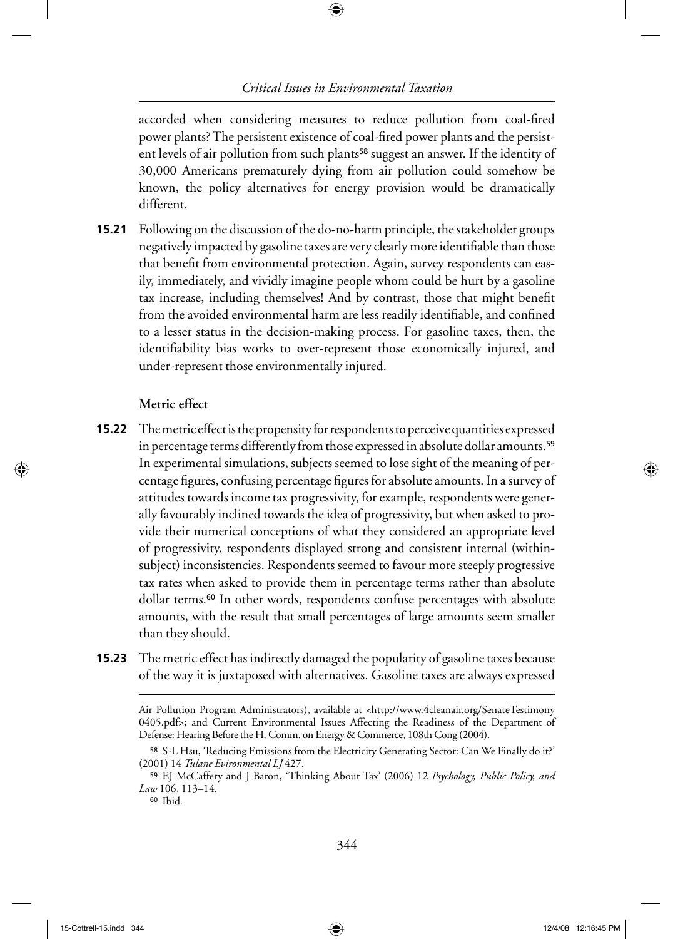⊕

accorded when considering measures to reduce pollution from coal-fired power plants? The persistent existence of coal-fired power plants and the persistent levels of air pollution from such plants<sup>58</sup> suggest an answer. If the identity of 30,000 Americans prematurely dying from air pollution could somehow be known, the policy alternatives for energy provision would be dramatically different.

Following on the discussion of the do-no-harm principle, the stakeholder groups **15.21** negatively impacted by gasoline taxes are very clearly more identifiable than those that benefit from environmental protection. Again, survey respondents can easily, immediately, and vividly imagine people whom could be hurt by a gasoline tax increase, including themselves! And by contrast, those that might benefit from the avoided environmental harm are less readily identifiable, and confined to a lesser status in the decision-making process. For gasoline taxes, then, the identifiability bias works to over-represent those economically injured, and under-represent those environmentally injured.

#### **Metric effect**

↔

- **15.22** The metric effect is the propensity for respondents to perceive quantities expressed in percentage terms differently from those expressed in absolute dollar amounts.<sup>59</sup> In experimental simulations, subjects seemed to lose sight of the meaning of percentage figures, confusing percentage figures for absolute amounts. In a survey of attitudes towards income tax progressivity, for example, respondents were generally favourably inclined towards the idea of progressivity, but when asked to provide their numerical conceptions of what they considered an appropriate level of progressivity, respondents displayed strong and consistent internal (withinsubject) inconsistencies. Respondents seemed to favour more steeply progressive tax rates when asked to provide them in percentage terms rather than absolute dollar terms.60 In other words, respondents confuse percentages with absolute amounts, with the result that small percentages of large amounts seem smaller than they should.
- The metric effect has indirectly damaged the popularity of gasoline taxes because **15.23** of the way it is juxtaposed with alternatives. Gasoline taxes are always expressed

Air Pollution Program Administrators), available at <http://www.4cleanair.org/SenateTestimony 0405.pdf>; and Current Environmental Issues Affecting the Readiness of the Department of Defense: Hearing Before the H. Comm. on Energy & Commerce, 108th Cong (2004).

<sup>58</sup> S-L Hsu, 'Reducing Emissions from the Electricity Generating Sector: Can We Finally do it?' (2001) 14 *Tulane Evironmental LJ* 427.

<sup>59</sup>EJ McCaffery and J Baron, 'Thinking About Tax' (2006) 12 *Psychology, Public Policy, and Law* 106, 113–14.

<sup>60</sup>Ibid*.*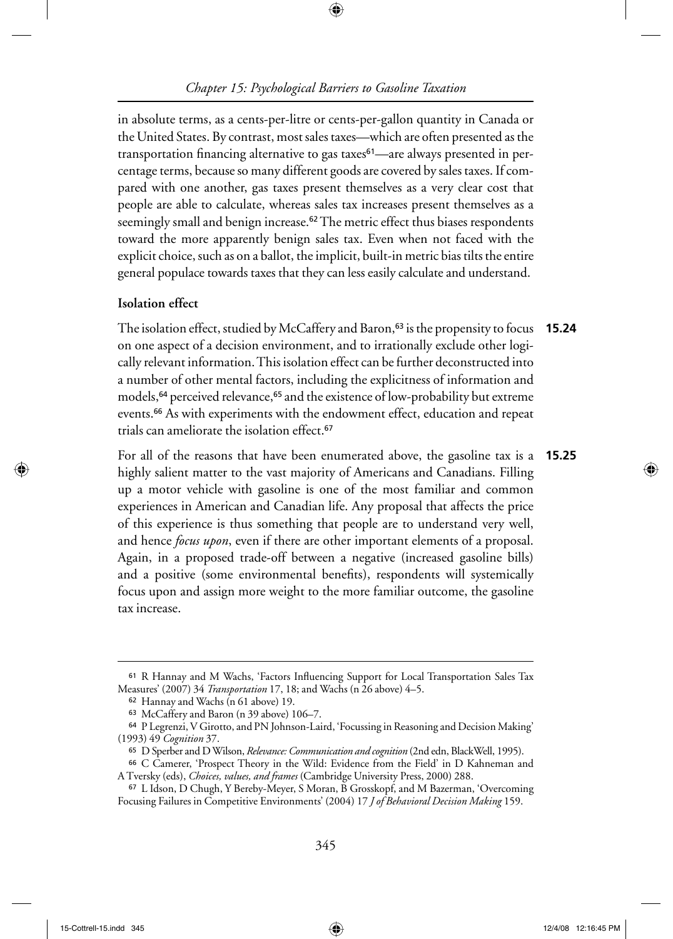⊕

in absolute terms, as a cents-per-litre or cents-per-gallon quantity in Canada or the United States. By contrast, most sales taxes—which are often presented as the transportation financing alternative to gas taxes<sup>61</sup>—are always presented in percentage terms, because so many different goods are covered by sales taxes. If compared with one another, gas taxes present themselves as a very clear cost that people are able to calculate, whereas sales tax increases present themselves as a seemingly small and benign increase.<sup>62</sup> The metric effect thus biases respondents toward the more apparently benign sales tax. Even when not faced with the explicit choice, such as on a ballot, the implicit, built-in metric bias tilts the entire general populace towards taxes that they can less easily calculate and understand.

#### **Isolation effect**

↔

The isolation effect, studied by McCaffery and Baron,63 is the propensity to focus **15.24** on one aspect of a decision environment, and to irrationally exclude other logically relevant information. This isolation effect can be further deconstructed into a number of other mental factors, including the explicitness of information and models,<sup>64</sup> perceived relevance,<sup>65</sup> and the existence of low-probability but extreme events.66 As with experiments with the endowment effect, education and repeat trials can ameliorate the isolation effect.<sup>67</sup>

For all of the reasons that have been enumerated above, the gasoline tax is a highly salient matter to the vast majority of Americans and Canadians. Filling up a motor vehicle with gasoline is one of the most familiar and common experiences in American and Canadian life. Any proposal that affects the price of this experience is thus something that people are to understand very well, and hence *focus upon*, even if there are other important elements of a proposal. Again, in a proposed trade-off between a negative (increased gasoline bills) and a positive (some environmental benefits), respondents will systemically focus upon and assign more weight to the more familiar outcome, the gasoline tax increase. **15.25**

<sup>61</sup> R Hannay and M Wachs, 'Factors Influencing Support for Local Transportation Sales Tax Measures' (2007) 34 *Transportation* 17, 18; and Wachs (n 26 above) 4–5.

<sup>62</sup>Hannay and Wachs (n 61 above) 19.

<sup>63</sup>McCaffery and Baron (n 39 above) 106–7.

<sup>64</sup>P Legrenzi, V Girotto, and PN Johnson-Laird, 'Focussing in Reasoning and Decision Making' (1993) 49 *Cognition* 37.

<sup>65</sup>D Sperber and D Wilson, *Relevance: Communication and cognition* (2nd edn, BlackWell, 1995).

<sup>66</sup>C Camerer, 'Prospect Theory in the Wild: Evidence from the Field' in D Kahneman and A Tversky (eds), *Choices, values, and frames* (Cambridge University Press, 2000) 288.

<sup>67</sup>L Idson, D Chugh, Y Bereby-Meyer, S Moran, B Grosskopf, and M Bazerman, 'Overcoming Focusing Failures in Competitive Environments' (2004) 17 *J of Behavioral Decision Making* 159.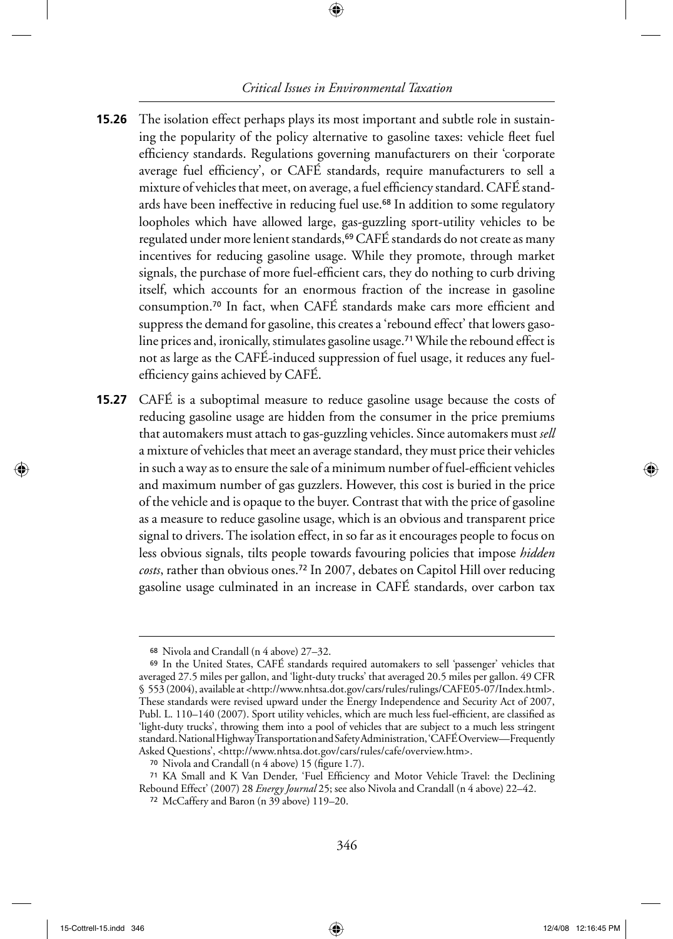⊕

- **15.26** The isolation effect perhaps plays its most important and subtle role in sustaining the popularity of the policy alternative to gasoline taxes: vehicle fleet fuel efficiency standards. Regulations governing manufacturers on their 'corporate average fuel efficiency', or CAFÉ standards, require manufacturers to sell a mixture of vehicles that meet, on average, a fuel efficiency standard. CAFÉ standards have been ineffective in reducing fuel use.<sup>68</sup> In addition to some regulatory loopholes which have allowed large, gas-guzzling sport-utility vehicles to be regulated under more lenient standards,<sup>69</sup> CAFÉ standards do not create as many incentives for reducing gasoline usage. While they promote, through market signals, the purchase of more fuel-efficient cars, they do nothing to curb driving itself, which accounts for an enormous fraction of the increase in gasoline consumption.<sup>70</sup> In fact, when CAFÉ standards make cars more efficient and suppress the demand for gasoline, this creates a 'rebound effect' that lowers gasoline prices and, ironically, stimulates gasoline usage.<sup>71</sup> While the rebound effect is not as large as the CAFÉ-induced suppression of fuel usage, it reduces any fuelefficiency gains achieved by CAFÉ.
- **15.27** CAFE is a suboptimal measure to reduce gasoline usage because the costs of reducing gasoline usage are hidden from the consumer in the price premiums that automakers must attach to gas-guzzling vehicles. Since automakers must *sell* a mixture of vehicles that meet an average standard, they must price their vehicles in such a way as to ensure the sale of a minimum number of fuel-efficient vehicles and maximum number of gas guzzlers. However, this cost is buried in the price of the vehicle and is opaque to the buyer. Contrast that with the price of gasoline as a measure to reduce gasoline usage, which is an obvious and transparent price signal to drivers. The isolation effect, in so far as it encourages people to focus on less obvious signals, tilts people towards favouring policies that impose *hidden costs*, rather than obvious ones.72 In 2007, debates on Capitol Hill over reducing gasoline usage culminated in an increase in CAFÉ standards, over carbon tax

↔

<sup>68</sup>Nivola and Crandall (n 4 above) 27–32.

<sup>69</sup>In the United States, CAFÉ standards required automakers to sell 'passenger' vehicles that averaged 27.5 miles per gallon, and 'light-duty trucks' that averaged 20.5 miles per gallon. 49 CFR § 553 (2004), available at <http://www.nhtsa.dot.gov/cars/rules/rulings/CAFE05-07/Index.html>. These standards were revised upward under the Energy Independence and Security Act of 2007, Publ. L. 110–140 (2007). Sport utility vehicles, which are much less fuel-efficient, are classified as 'light-duty trucks', throwing them into a pool of vehicles that are subject to a much less stringent standard. National Highway Transportation and Safety Administration, 'CAFÉ Overview—Frequently Asked Questions', <http://www.nhtsa.dot.gov/cars/rules/cafe/overview.htm>.

<sup>70</sup> Nivola and Crandall (n  $4$  above) 15 (figure 1.7).

<sup>71</sup> KA Small and K Van Dender, 'Fuel Efficiency and Motor Vehicle Travel: the Declining Rebound Effect' (2007) 28 *Energy Journal* 25; see also Nivola and Crandall (n 4 above) 22–42.

<sup>72</sup>McCaffery and Baron (n 39 above) 119–20.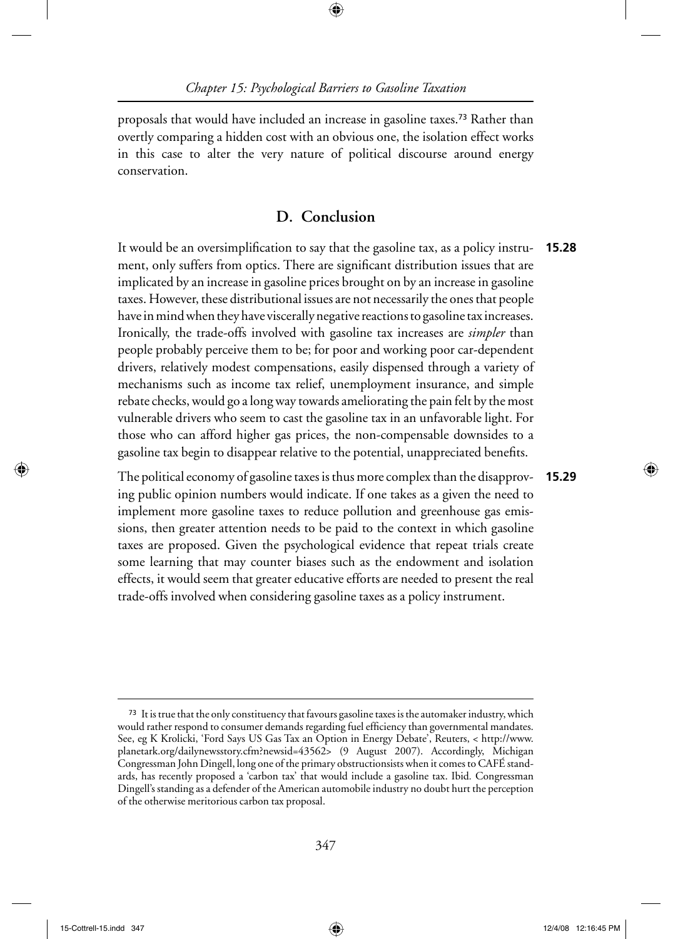⊕

proposals that would have included an increase in gasoline taxes.73 Rather than overtly comparing a hidden cost with an obvious one, the isolation effect works in this case to alter the very nature of political discourse around energy conservation.

# **D. Conclusion**

It would be an oversimplification to say that the gasoline tax, as a policy instrument, only suffers from optics. There are significant distribution issues that are implicated by an increase in gasoline prices brought on by an increase in gasoline taxes. However, these distributional issues are not necessarily the ones that people have in mind when they have viscerally negative reactions to gasoline tax increases. Ironically, the trade-offs involved with gasoline tax increases are *simpler* than people probably perceive them to be; for poor and working poor car-dependent drivers, relatively modest compensations, easily dispensed through a variety of mechanisms such as income tax relief, unemployment insurance, and simple rebate checks, would go a long way towards ameliorating the pain felt by the most vulnerable drivers who seem to cast the gasoline tax in an unfavorable light. For those who can afford higher gas prices, the non-compensable downsides to a gasoline tax begin to disappear relative to the potential, unappreciated benefits. **15.28**

The political economy of gasoline taxes is thus more complex than the disapproving public opinion numbers would indicate. If one takes as a given the need to implement more gasoline taxes to reduce pollution and greenhouse gas emissions, then greater attention needs to be paid to the context in which gasoline taxes are proposed. Given the psychological evidence that repeat trials create some learning that may counter biases such as the endowment and isolation effects, it would seem that greater educative efforts are needed to present the real trade-offs involved when considering gasoline taxes as a policy instrument. **15.29**

↔

<sup>&</sup>lt;sup>73</sup> It is true that the only constituency that favours gasoline taxes is the automaker industry, which would rather respond to consumer demands regarding fuel efficiency than governmental mandates. See, eg K Krolicki, 'Ford Says US Gas Tax an Option in Energy Debate', Reuters, < http://www. planetark.org/dailynewsstory.cfm?newsid=43562> (9 August 2007). Accordingly, Michigan Congressman John Dingell, long one of the primary obstructionsists when it comes to CAFÉ standards, has recently proposed a 'carbon tax' that would include a gasoline tax. Ibid*.* Congressman Dingell's standing as a defender of the American automobile industry no doubt hurt the perception of the otherwise meritorious carbon tax proposal.